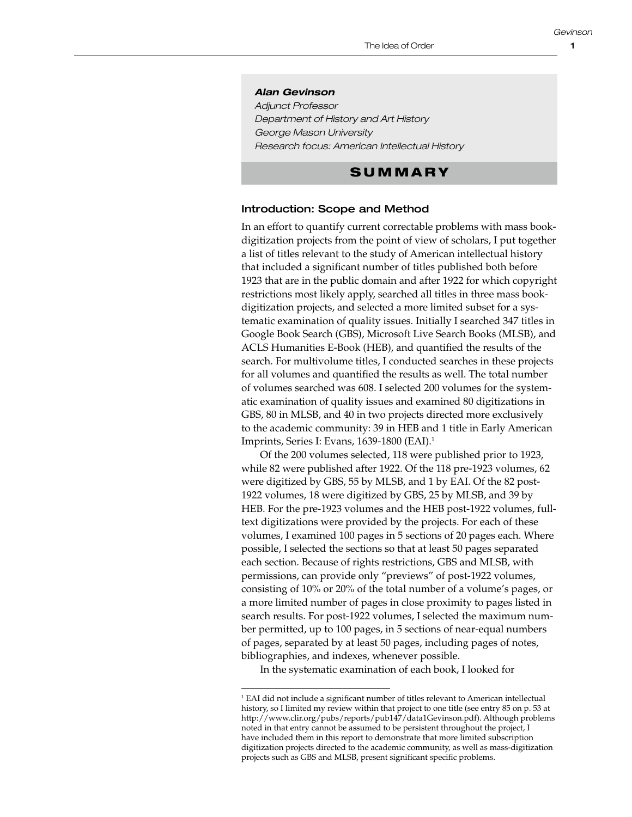#### *Alan Gevinson*

*Adjunct Professor Department of History and Art History George Mason University Research focus: American Intellectual History*

# S U M M A R Y

### Introduction: Scope and Method

In an effort to quantify current correctable problems with mass bookdigitization projects from the point of view of scholars, I put together a list of titles relevant to the study of American intellectual history that included a significant number of titles published both before 1923 that are in the public domain and after 1922 for which copyright restrictions most likely apply, searched all titles in three mass bookdigitization projects, and selected a more limited subset for a systematic examination of quality issues. Initially I searched 347 titles in Google Book Search (GBS), Microsoft Live Search Books (MLSB), and ACLS Humanities E-Book (HEB), and quantified the results of the search. For multivolume titles, I conducted searches in these projects for all volumes and quantified the results as well. The total number of volumes searched was 608. I selected 200 volumes for the systematic examination of quality issues and examined 80 digitizations in GBS, 80 in MLSB, and 40 in two projects directed more exclusively to the academic community: 39 in HEB and 1 title in Early American Imprints, Series I: Evans, 1639-1800 (EAI).1

Of the 200 volumes selected, 118 were published prior to 1923, while 82 were published after 1922. Of the 118 pre-1923 volumes, 62 were digitized by GBS, 55 by MLSB, and 1 by EAI. Of the 82 post-1922 volumes, 18 were digitized by GBS, 25 by MLSB, and 39 by HEB. For the pre-1923 volumes and the HEB post-1922 volumes, fulltext digitizations were provided by the projects. For each of these volumes, I examined 100 pages in 5 sections of 20 pages each. Where possible, I selected the sections so that at least 50 pages separated each section. Because of rights restrictions, GBS and MLSB, with permissions, can provide only "previews" of post-1922 volumes, consisting of 10% or 20% of the total number of a volume's pages, or a more limited number of pages in close proximity to pages listed in search results. For post-1922 volumes, I selected the maximum number permitted, up to 100 pages, in 5 sections of near-equal numbers of pages, separated by at least 50 pages, including pages of notes, bibliographies, and indexes, whenever possible.

In the systematic examination of each book, I looked for

<sup>&</sup>lt;sup>1</sup> EAI did not include a significant number of titles relevant to American intellectual history, so I limited my review within that project to one title (see entry 85 on p. 53 at <http://www.clir.org/pubs/reports/pub147/data1Gevinson.pdf>). Although problems noted in that entry cannot be assumed to be persistent throughout the project, I have included them in this report to demonstrate that more limited subscription digitization projects directed to the academic community, as well as mass-digitization projects such as GBS and MLSB, present significant specific problems.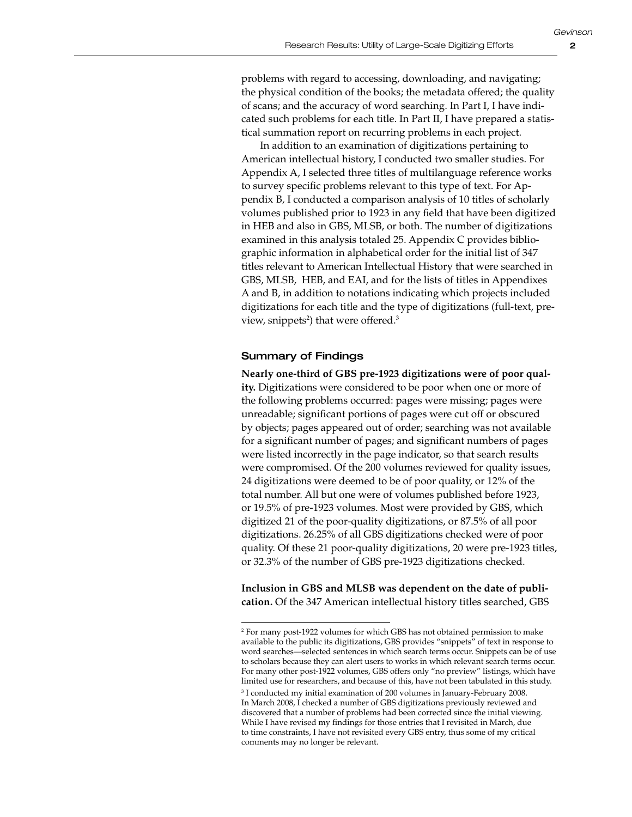problems with regard to accessing, downloading, and navigating; the physical condition of the books; the metadata offered; the quality of scans; and the accuracy of word searching. In Part I, I have indicated such problems for each title. In Part II, I have prepared a statistical summation report on recurring problems in each project.

In addition to an examination of digitizations pertaining to American intellectual history, I conducted two smaller studies. For Appendix A, I selected three titles of multilanguage reference works to survey specific problems relevant to this type of text. For Appendix B, I conducted a comparison analysis of 10 titles of scholarly volumes published prior to 1923 in any field that have been digitized in HEB and also in GBS, MLSB, or both. The number of digitizations examined in this analysis totaled 25. Appendix C provides bibliographic information in alphabetical order for the initial list of 347 titles relevant to American Intellectual History that were searched in GBS, MLSB, HEB, and EAI, and for the lists of titles in Appendixes A and B, in addition to notations indicating which projects included digitizations for each title and the type of digitizations (full-text, preview, snippets<sup>2</sup>) that were offered.<sup>3</sup>

## Summary of Findings

**Nearly one-third of GBS pre-1923 digitizations were of poor quality.** Digitizations were considered to be poor when one or more of the following problems occurred: pages were missing; pages were unreadable; significant portions of pages were cut off or obscured by objects; pages appeared out of order; searching was not available for a significant number of pages; and significant numbers of pages were listed incorrectly in the page indicator, so that search results were compromised. Of the 200 volumes reviewed for quality issues, 24 digitizations were deemed to be of poor quality, or 12% of the total number. All but one were of volumes published before 1923, or 19.5% of pre-1923 volumes. Most were provided by GBS, which digitized 21 of the poor-quality digitizations, or 87.5% of all poor digitizations. 26.25% of all GBS digitizations checked were of poor quality. Of these 21 poor-quality digitizations, 20 were pre-1923 titles, or 32.3% of the number of GBS pre-1923 digitizations checked.

**Inclusion in GBS and MLSB was dependent on the date of publication.** Of the 347 American intellectual history titles searched, GBS

<sup>2</sup> For many post-1922 volumes for which GBS has not obtained permission to make available to the public its digitizations, GBS provides "snippets" of text in response to word searches—selected sentences in which search terms occur. Snippets can be of use to scholars because they can alert users to works in which relevant search terms occur. For many other post-1922 volumes, GBS offers only "no preview" listings, which have limited use for researchers, and because of this, have not been tabulated in this study. 3 I conducted my initial examination of 200 volumes in January-February 2008. In March 2008, I checked a number of GBS digitizations previously reviewed and discovered that a number of problems had been corrected since the initial viewing. While I have revised my findings for those entries that I revisited in March, due to time constraints, I have not revisited every GBS entry, thus some of my critical comments may no longer be relevant.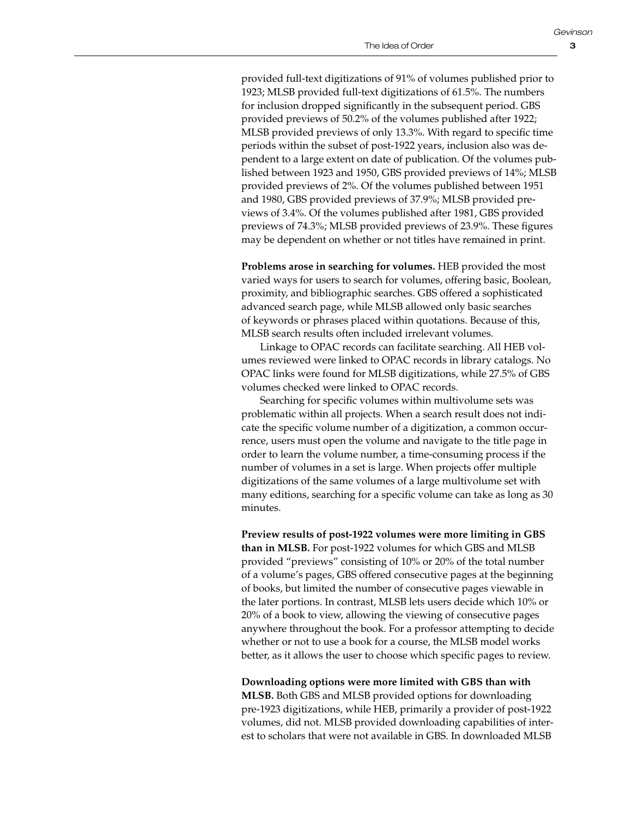3

provided full-text digitizations of 91% of volumes published prior to 1923; MLSB provided full-text digitizations of 61.5%. The numbers for inclusion dropped significantly in the subsequent period. GBS provided previews of 50.2% of the volumes published after 1922; MLSB provided previews of only 13.3%. With regard to specific time periods within the subset of post-1922 years, inclusion also was dependent to a large extent on date of publication. Of the volumes published between 1923 and 1950, GBS provided previews of 14%; MLSB provided previews of 2%. Of the volumes published between 1951 and 1980, GBS provided previews of 37.9%; MLSB provided previews of 3.4%. Of the volumes published after 1981, GBS provided previews of 74.3%; MLSB provided previews of 23.9%. These figures may be dependent on whether or not titles have remained in print.

**Problems arose in searching for volumes.** HEB provided the most varied ways for users to search for volumes, offering basic, Boolean, proximity, and bibliographic searches. GBS offered a sophisticated advanced search page, while MLSB allowed only basic searches of keywords or phrases placed within quotations. Because of this, MLSB search results often included irrelevant volumes.

Linkage to OPAC records can facilitate searching. All HEB volumes reviewed were linked to OPAC records in library catalogs. No OPAC links were found for MLSB digitizations, while 27.5% of GBS volumes checked were linked to OPAC records.

Searching for specific volumes within multivolume sets was problematic within all projects. When a search result does not indicate the specific volume number of a digitization, a common occurrence, users must open the volume and navigate to the title page in order to learn the volume number, a time-consuming process if the number of volumes in a set is large. When projects offer multiple digitizations of the same volumes of a large multivolume set with many editions, searching for a specific volume can take as long as 30 minutes.

**Preview results of post-1922 volumes were more limiting in GBS than in MLSB.** For post-1922 volumes for which GBS and MLSB provided "previews" consisting of 10% or 20% of the total number of a volume's pages, GBS offered consecutive pages at the beginning of books, but limited the number of consecutive pages viewable in the later portions. In contrast, MLSB lets users decide which 10% or 20% of a book to view, allowing the viewing of consecutive pages anywhere throughout the book. For a professor attempting to decide whether or not to use a book for a course, the MLSB model works better, as it allows the user to choose which specific pages to review.

**Downloading options were more limited with GBS than with MLSB.** Both GBS and MLSB provided options for downloading pre-1923 digitizations, while HEB, primarily a provider of post-1922 volumes, did not. MLSB provided downloading capabilities of interest to scholars that were not available in GBS. In downloaded MLSB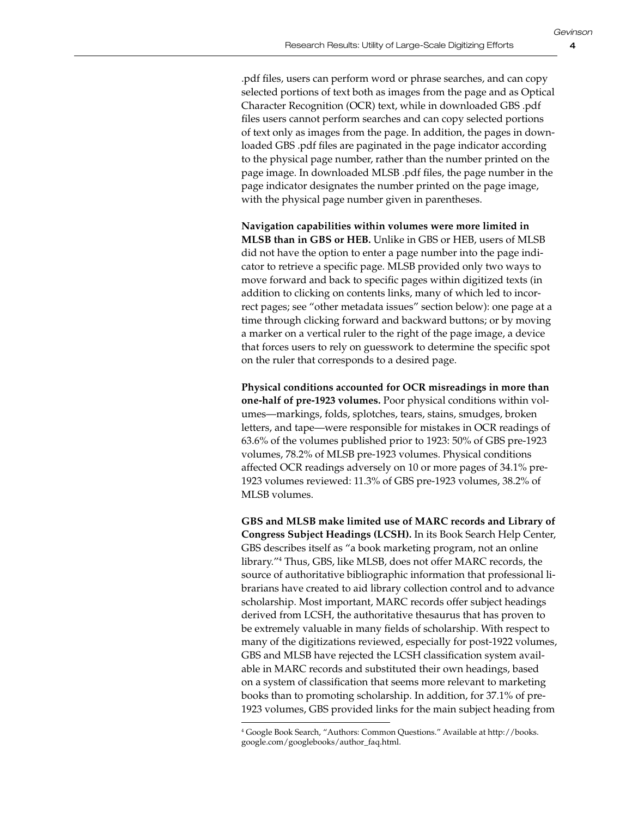.pdf files, users can perform word or phrase searches, and can copy selected portions of text both as images from the page and as Optical Character Recognition (OCR) text, while in downloaded GBS .pdf files users cannot perform searches and can copy selected portions of text only as images from the page. In addition, the pages in downloaded GBS .pdf files are paginated in the page indicator according to the physical page number, rather than the number printed on the page image. In downloaded MLSB .pdf files, the page number in the page indicator designates the number printed on the page image, with the physical page number given in parentheses.

**Navigation capabilities within volumes were more limited in MLSB than in GBS or HEB.** Unlike in GBS or HEB, users of MLSB did not have the option to enter a page number into the page indicator to retrieve a specific page. MLSB provided only two ways to move forward and back to specific pages within digitized texts (in addition to clicking on contents links, many of which led to incorrect pages; see "other metadata issues" section below): one page at a time through clicking forward and backward buttons; or by moving a marker on a vertical ruler to the right of the page image, a device that forces users to rely on guesswork to determine the specific spot on the ruler that corresponds to a desired page.

**Physical conditions accounted for OCR misreadings in more than one-half of pre-1923 volumes.** Poor physical conditions within volumes—markings, folds, splotches, tears, stains, smudges, broken letters, and tape—were responsible for mistakes in OCR readings of 63.6% of the volumes published prior to 1923: 50% of GBS pre-1923 volumes, 78.2% of MLSB pre-1923 volumes. Physical conditions affected OCR readings adversely on 10 or more pages of 34.1% pre-1923 volumes reviewed: 11.3% of GBS pre-1923 volumes, 38.2% of MLSB volumes.

**GBS and MLSB make limited use of MARC records and Library of Congress Subject Headings (LCSH).** In its Book Search Help Center, GBS describes itself as "a book marketing program, not an online library."4 Thus, GBS, like MLSB, does not offer MARC records, the source of authoritative bibliographic information that professional librarians have created to aid library collection control and to advance scholarship. Most important, MARC records offer subject headings derived from LCSH, the authoritative thesaurus that has proven to be extremely valuable in many fields of scholarship. With respect to many of the digitizations reviewed, especially for post-1922 volumes, GBS and MLSB have rejected the LCSH classification system available in MARC records and substituted their own headings, based on a system of classification that seems more relevant to marketing books than to promoting scholarship. In addition, for 37.1% of pre-1923 volumes, GBS provided links for the main subject heading from

<sup>4</sup> Google Book Search, "Authors: Common Questions." Available at [http://books.](http://books.google.com/googlebooks/author_faq.html) [google.com/googlebooks/author\\_faq.html.](http://books.google.com/googlebooks/author_faq.html)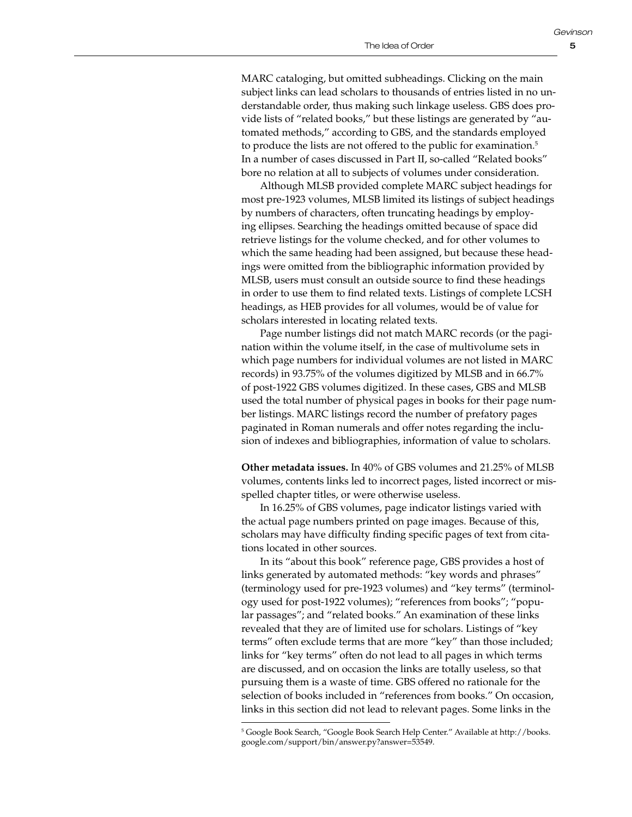MARC cataloging, but omitted subheadings. Clicking on the main subject links can lead scholars to thousands of entries listed in no understandable order, thus making such linkage useless. GBS does provide lists of "related books," but these listings are generated by "automated methods," according to GBS, and the standards employed to produce the lists are not offered to the public for examination.<sup>5</sup> In a number of cases discussed in Part II, so-called "Related books" bore no relation at all to subjects of volumes under consideration.

Although MLSB provided complete MARC subject headings for most pre-1923 volumes, MLSB limited its listings of subject headings by numbers of characters, often truncating headings by employing ellipses. Searching the headings omitted because of space did retrieve listings for the volume checked, and for other volumes to which the same heading had been assigned, but because these headings were omitted from the bibliographic information provided by MLSB, users must consult an outside source to find these headings in order to use them to find related texts. Listings of complete LCSH headings, as HEB provides for all volumes, would be of value for scholars interested in locating related texts.

Page number listings did not match MARC records (or the pagination within the volume itself, in the case of multivolume sets in which page numbers for individual volumes are not listed in MARC records) in 93.75% of the volumes digitized by MLSB and in 66.7% of post-1922 GBS volumes digitized. In these cases, GBS and MLSB used the total number of physical pages in books for their page number listings. MARC listings record the number of prefatory pages paginated in Roman numerals and offer notes regarding the inclusion of indexes and bibliographies, information of value to scholars.

**Other metadata issues.** In 40% of GBS volumes and 21.25% of MLSB volumes, contents links led to incorrect pages, listed incorrect or misspelled chapter titles, or were otherwise useless.

In 16.25% of GBS volumes, page indicator listings varied with the actual page numbers printed on page images. Because of this, scholars may have difficulty finding specific pages of text from citations located in other sources.

In its "about this book" reference page, GBS provides a host of links generated by automated methods: "key words and phrases" (terminology used for pre-1923 volumes) and "key terms" (terminology used for post-1922 volumes); "references from books"; "popular passages"; and "related books." An examination of these links revealed that they are of limited use for scholars. Listings of "key terms" often exclude terms that are more "key" than those included; links for "key terms" often do not lead to all pages in which terms are discussed, and on occasion the links are totally useless, so that pursuing them is a waste of time. GBS offered no rationale for the selection of books included in "references from books." On occasion, links in this section did not lead to relevant pages. Some links in the

<sup>5</sup> Google Book Search, "Google Book Search Help Center." Available at [http://books.](http://books.google.com/support/bin/answer.py?answer=53549) [google.com/support/bin/answer.py?answer=53549](http://books.google.com/support/bin/answer.py?answer=53549).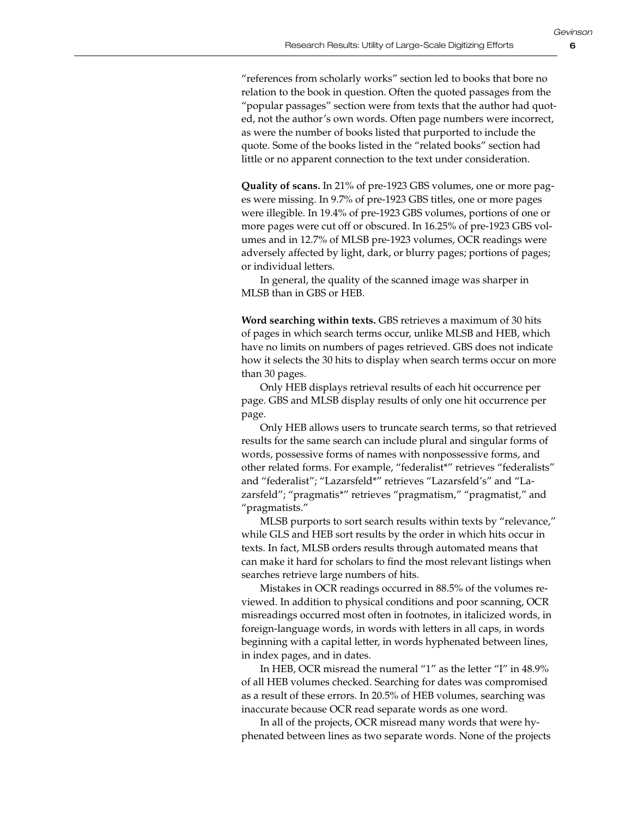"references from scholarly works" section led to books that bore no relation to the book in question. Often the quoted passages from the "popular passages" section were from texts that the author had quoted, not the author's own words. Often page numbers were incorrect, as were the number of books listed that purported to include the quote. Some of the books listed in the "related books" section had little or no apparent connection to the text under consideration.

**Quality of scans.** In 21% of pre-1923 GBS volumes, one or more pages were missing. In 9.7% of pre-1923 GBS titles, one or more pages were illegible. In 19.4% of pre-1923 GBS volumes, portions of one or more pages were cut off or obscured. In 16.25% of pre-1923 GBS volumes and in 12.7% of MLSB pre-1923 volumes, OCR readings were adversely affected by light, dark, or blurry pages; portions of pages; or individual letters.

In general, the quality of the scanned image was sharper in MLSB than in GBS or HEB.

**Word searching within texts.** GBS retrieves a maximum of 30 hits of pages in which search terms occur, unlike MLSB and HEB, which have no limits on numbers of pages retrieved. GBS does not indicate how it selects the 30 hits to display when search terms occur on more than 30 pages.

Only HEB displays retrieval results of each hit occurrence per page. GBS and MLSB display results of only one hit occurrence per page.

Only HEB allows users to truncate search terms, so that retrieved results for the same search can include plural and singular forms of words, possessive forms of names with nonpossessive forms, and other related forms. For example, "federalist\*" retrieves "federalists" and "federalist"; "Lazarsfeld\*" retrieves "Lazarsfeld's" and "Lazarsfeld"; "pragmatis\*" retrieves "pragmatism," "pragmatist," and "pragmatists."

MLSB purports to sort search results within texts by "relevance," while GLS and HEB sort results by the order in which hits occur in texts. In fact, MLSB orders results through automated means that can make it hard for scholars to find the most relevant listings when searches retrieve large numbers of hits.

Mistakes in OCR readings occurred in 88.5% of the volumes reviewed. In addition to physical conditions and poor scanning, OCR misreadings occurred most often in footnotes, in italicized words, in foreign-language words, in words with letters in all caps, in words beginning with a capital letter, in words hyphenated between lines, in index pages, and in dates.

In HEB, OCR misread the numeral "1" as the letter "I" in 48.9% of all HEB volumes checked. Searching for dates was compromised as a result of these errors. In 20.5% of HEB volumes, searching was inaccurate because OCR read separate words as one word.

In all of the projects, OCR misread many words that were hyphenated between lines as two separate words. None of the projects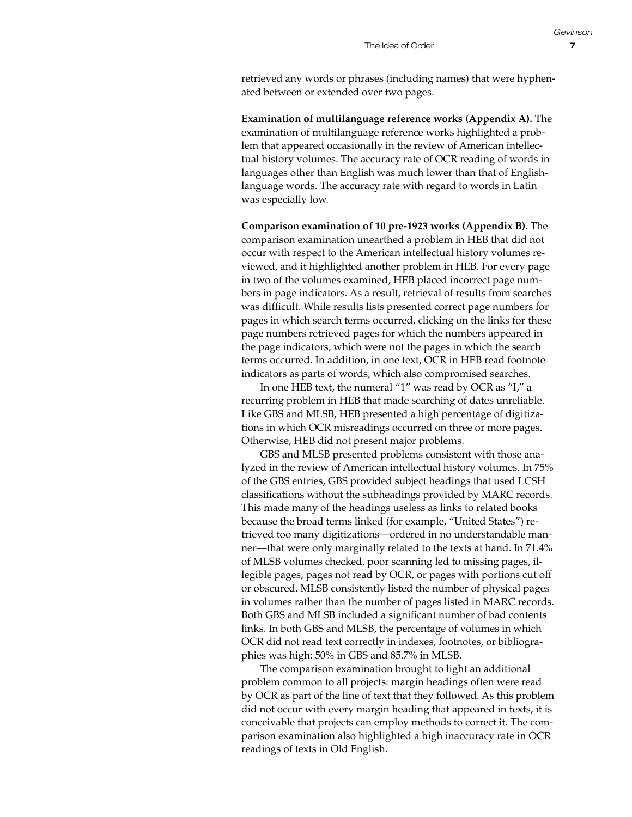*Gevinson*

retrieved any words or phrases (including names) that were hyphenated between or extended over two pages.

**Examination of multilanguage reference works (Appendix A).** The examination of multilanguage reference works highlighted a problem that appeared occasionally in the review of American intellectual history volumes. The accuracy rate of OCR reading of words in languages other than English was much lower than that of Englishlanguage words. The accuracy rate with regard to words in Latin was especially low.

**Comparison examination of 10 pre-1923 works (Appendix B).** The comparison examination unearthed a problem in HEB that did not occur with respect to the American intellectual history volumes reviewed, and it highlighted another problem in HEB. For every page in two of the volumes examined, HEB placed incorrect page numbers in page indicators. As a result, retrieval of results from searches was difficult. While results lists presented correct page numbers for pages in which search terms occurred, clicking on the links for these page numbers retrieved pages for which the numbers appeared in the page indicators, which were not the pages in which the search terms occurred. In addition, in one text, OCR in HEB read footnote indicators as parts of words, which also compromised searches.

In one HEB text, the numeral "1" was read by OCR as "I," a recurring problem in HEB that made searching of dates unreliable. Like GBS and MLSB, HEB presented a high percentage of digitizations in which OCR misreadings occurred on three or more pages. Otherwise, HEB did not present major problems.

GBS and MLSB presented problems consistent with those analyzed in the review of American intellectual history volumes. In 75% of the GBS entries, GBS provided subject headings that used LCSH classifications without the subheadings provided by MARC records. This made many of the headings useless as links to related books because the broad terms linked (for example, "United States") retrieved too many digitizations—ordered in no understandable manner—that were only marginally related to the texts at hand. In 71.4% of MLSB volumes checked, poor scanning led to missing pages, illegible pages, pages not read by OCR, or pages with portions cut off or obscured. MLSB consistently listed the number of physical pages in volumes rather than the number of pages listed in MARC records. Both GBS and MLSB included a significant number of bad contents links. In both GBS and MLSB, the percentage of volumes in which OCR did not read text correctly in indexes, footnotes, or bibliographies was high: 50% in GBS and 85.7% in MLSB.

The comparison examination brought to light an additional problem common to all projects: margin headings often were read by OCR as part of the line of text that they followed. As this problem did not occur with every margin heading that appeared in texts, it is conceivable that projects can employ methods to correct it. The comparison examination also highlighted a high inaccuracy rate in OCR readings of texts in Old English.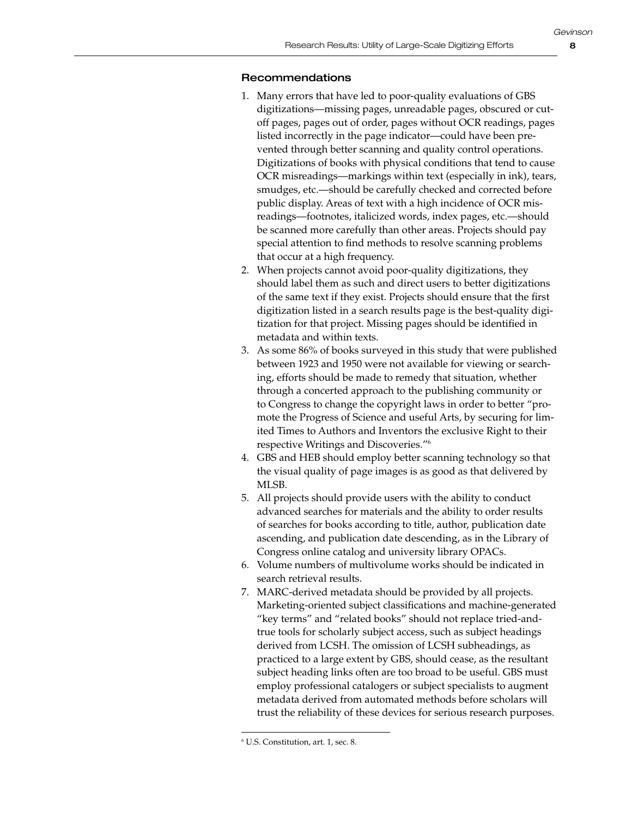# Recommendations

- 1. Many errors that have led to poor-quality evaluations of GBS digitizations—missing pages, unreadable pages, obscured or cutoff pages, pages out of order, pages without OCR readings, pages listed incorrectly in the page indicator—could have been prevented through better scanning and quality control operations. Digitizations of books with physical conditions that tend to cause OCR misreadings—markings within text (especially in ink), tears, smudges, etc.—should be carefully checked and corrected before public display. Areas of text with a high incidence of OCR misreadings—footnotes, italicized words, index pages, etc.—should be scanned more carefully than other areas. Projects should pay special attention to find methods to resolve scanning problems that occur at a high frequency.
- 2. When projects cannot avoid poor-quality digitizations, they should label them as such and direct users to better digitizations of the same text if they exist. Projects should ensure that the first digitization listed in a search results page is the best-quality digitization for that project. Missing pages should be identified in metadata and within texts.
- 3. As some 86% of books surveyed in this study that were published between 1923 and 1950 were not available for viewing or searching, efforts should be made to remedy that situation, whether through a concerted approach to the publishing community or to Congress to change the copyright laws in order to better "promote the Progress of Science and useful Arts, by securing for limited Times to Authors and Inventors the exclusive Right to their respective Writings and Discoveries."6
- 4. GBS and HEB should employ better scanning technology so that the visual quality of page images is as good as that delivered by MLSB.
- 5. All projects should provide users with the ability to conduct advanced searches for materials and the ability to order results of searches for books according to title, author, publication date ascending, and publication date descending, as in the Library of Congress online catalog and university library OPACs.
- 6. Volume numbers of multivolume works should be indicated in search retrieval results.
- 7. MARC-derived metadata should be provided by all projects. Marketing-oriented subject classifications and machine-generated "key terms" and "related books" should not replace tried-andtrue tools for scholarly subject access, such as subject headings derived from LCSH. The omission of LCSH subheadings, as practiced to a large extent by GBS, should cease, as the resultant subject heading links often are too broad to be useful. GBS must employ professional catalogers or subject specialists to augment metadata derived from automated methods before scholars will trust the reliability of these devices for serious research purposes.

<sup>6</sup> U.S. Constitution, art. 1, sec. 8.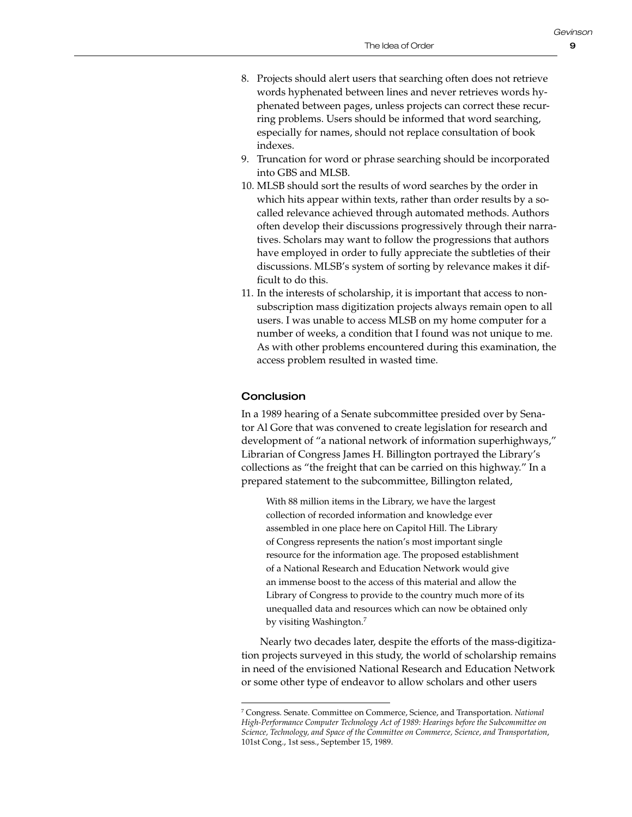*Gevinson*

- 8. Projects should alert users that searching often does not retrieve words hyphenated between lines and never retrieves words hyphenated between pages, unless projects can correct these recurring problems. Users should be informed that word searching, especially for names, should not replace consultation of book indexes.
- 9. Truncation for word or phrase searching should be incorporated into GBS and MLSB.
- 10. MLSB should sort the results of word searches by the order in which hits appear within texts, rather than order results by a socalled relevance achieved through automated methods. Authors often develop their discussions progressively through their narratives. Scholars may want to follow the progressions that authors have employed in order to fully appreciate the subtleties of their discussions. MLSB's system of sorting by relevance makes it difficult to do this.
- 11. In the interests of scholarship, it is important that access to nonsubscription mass digitization projects always remain open to all users. I was unable to access MLSB on my home computer for a number of weeks, a condition that I found was not unique to me. As with other problems encountered during this examination, the access problem resulted in wasted time.

# **Conclusion**

In a 1989 hearing of a Senate subcommittee presided over by Senator Al Gore that was convened to create legislation for research and development of "a national network of information superhighways," Librarian of Congress James H. Billington portrayed the Library's collections as "the freight that can be carried on this highway." In a prepared statement to the subcommittee, Billington related,

With 88 million items in the Library, we have the largest collection of recorded information and knowledge ever assembled in one place here on Capitol Hill. The Library of Congress represents the nation's most important single resource for the information age. The proposed establishment of a National Research and Education Network would give an immense boost to the access of this material and allow the Library of Congress to provide to the country much more of its unequalled data and resources which can now be obtained only by visiting Washington.<sup>7</sup>

Nearly two decades later, despite the efforts of the mass-digitization projects surveyed in this study, the world of scholarship remains in need of the envisioned National Research and Education Network or some other type of endeavor to allow scholars and other users

<sup>7</sup> Congress. Senate. Committee on Commerce, Science, and Transportation. *National High-Performance Computer Technology Act of 1989: Hearings before the Subcommittee on Science, Technology, and Space of the Committee on Commerce, Science, and Transportation*, 101st Cong., 1st sess., September 15, 1989.